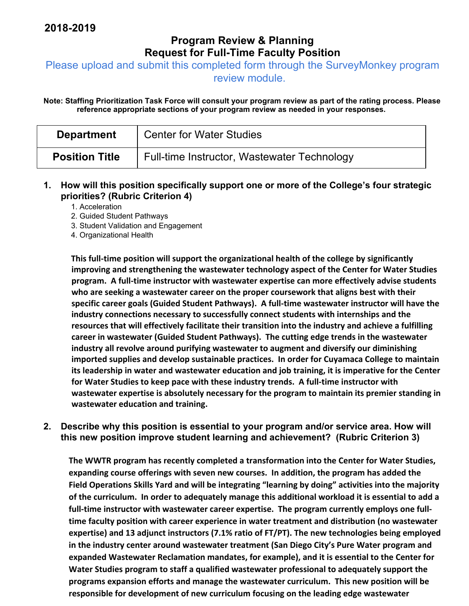## **Program Review & Planning Request for Full-Time Faculty Position**

Please upload and submit this completed form through the SurveyMonkey program

review module.

**Note: Staffing Prioritization Task Force will consult your program review as part of the rating process. Please reference appropriate sections of your program review as needed in your responses.** 

| <b>Department</b>     | <b>Center for Water Studies</b>             |
|-----------------------|---------------------------------------------|
| <b>Position Title</b> | Full-time Instructor, Wastewater Technology |

**1. How will this position specifically support one or more of the College's four strategic priorities? (Rubric Criterion 4)** 

1. Acceleration

2. Guided Student Pathways

3. Student Validation and Engagement

4. Organizational Health

**This full‐time position will support the organizational health of the college by significantly improving and strengthening the wastewater technology aspect of the Center for Water Studies program. A full‐time instructor with wastewater expertise can more effectively advise students who are seeking a wastewater career on the proper coursework that aligns best with their specific career goals (Guided Student Pathways). A full‐time wastewater instructor will have the industry connections necessary to successfully connect students with internships and the resources that will effectively facilitate their transition into the industry and achieve a fulfilling career in wastewater (Guided Student Pathways). The cutting edge trends in the wastewater industry all revolve around purifying wastewater to augment and diversify our diminishing imported supplies and develop sustainable practices. In order for Cuyamaca College to maintain its leadership in water and wastewater education and job training, it is imperative for the Center for Water Studies to keep pace with these industry trends. A full‐time instructor with wastewater expertise is absolutely necessary for the program to maintain its premier standing in wastewater education and training.**

**2. Describe why this position is essential to your program and/or service area. How will this new position improve student learning and achievement? (Rubric Criterion 3)** 

**The WWTR program has recently completed a transformation into the Center for Water Studies, expanding course offerings with seven new courses. In addition, the program has added the Field Operations Skills Yard and will be integrating "learning by doing" activities into the majority** of the curriculum. In order to adequately manage this additional workload it is essential to add a **full‐time instructor with wastewater career expertise. The program currently employs one full‐ time faculty position with career experience in water treatment and distribution (no wastewater expertise) and 13 adjunct instructors (7.1% ratio of FT/PT). The new technologies being employed in the industry center around wastewater treatment (San Diego City's Pure Water program and expanded Wastewater Reclamation mandates, for example), and it is essential to the Center for Water Studies program to staff a qualified wastewater professional to adequately support the programs expansion efforts and manage the wastewater curriculum. This new position will be responsible for development of new curriculum focusing on the leading edge wastewater**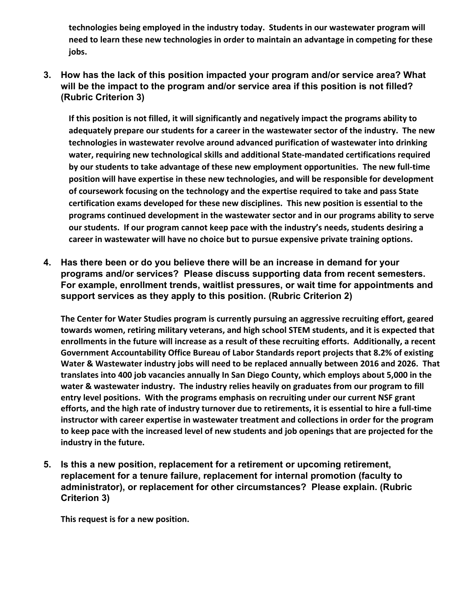**technologies being employed in the industry today. Students in our wastewater program will need to learn these new technologies in order to maintain an advantage in competing for these jobs.**

**3. How has the lack of this position impacted your program and/or service area? What will be the impact to the program and/or service area if this position is not filled? (Rubric Criterion 3)** 

**If this position is not filled, it will significantly and negatively impact the programs ability to adequately prepare our students for a career in the wastewater sector of the industry. The new technologies in wastewater revolve around advanced purification of wastewater into drinking water, requiring new technological skills and additional State‐mandated certifications required by our students to take advantage of these new employment opportunities. The new full‐time position will have expertise in these new technologies, and will be responsible for development of coursework focusing on the technology and the expertise required to take and pass State certification exams developed for these new disciplines. This new position is essential to the programs continued development in the wastewater sector and in our programs ability to serve our students. If our program cannot keep pace with the industry's needs, students desiring a career in wastewater will have no choice but to pursue expensive private training options.**

**4. Has there been or do you believe there will be an increase in demand for your programs and/or services? Please discuss supporting data from recent semesters. For example, enrollment trends, waitlist pressures, or wait time for appointments and support services as they apply to this position. (Rubric Criterion 2)** 

**The Center for Water Studies program is currently pursuing an aggressive recruiting effort, geared towards women, retiring military veterans, and high school STEM students, and it is expected that enrollments in the future will increase as a result of these recruiting efforts. Additionally, a recent Government Accountability Office Bureau of Labor Standards report projects that 8.2% of existing Water & Wastewater industry jobs will need to be replaced annually between 2016 and 2026. That translates into 400 job vacancies annually In San Diego County, which employs about 5,000 in the water & wastewater industry. The industry relies heavily on graduates from our program to fill entry level positions. With the programs emphasis on recruiting under our current NSF grant** efforts, and the high rate of industry turnover due to retirements, it is essential to hire a full-time **instructor with career expertise in wastewater treatment and collections in order for the program to keep pace with the increased level of new students and job openings that are projected for the industry in the future.**

**5. Is this a new position, replacement for a retirement or upcoming retirement, replacement for a tenure failure, replacement for internal promotion (faculty to administrator), or replacement for other circumstances? Please explain. (Rubric Criterion 3)** 

**This request is for a new position.**